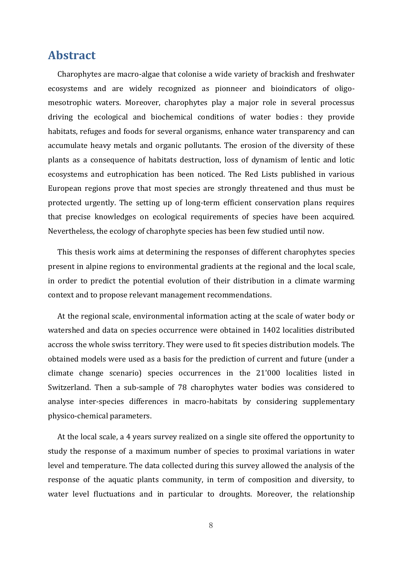## **Abstract**

Charophytes are macro-algae that colonise a wide variety of brackish and freshwater ecosystems and are widely recognized as pionneer and bioindicators of oligomesotrophic waters. Moreover, charophytes play a major role in several processus driving the ecological and biochemical conditions of water bodies : they provide habitats, refuges and foods for several organisms, enhance water transparency and can accumulate heavy metals and organic pollutants. The erosion of the diversity of these plants as a consequence of habitats destruction, loss of dynamism of lentic and lotic ecosystems and eutrophication has been noticed. The Red Lists published in various European regions prove that most species are strongly threatened and thus must be protected urgently. The setting up of long-term efficient conservation plans requires that precise knowledges on ecological requirements of species have been acquired. Nevertheless, the ecology of charophyte species has been few studied until now.

This thesis work aims at determining the responses of different charophytes species present in alpine regions to environmental gradients at the regional and the local scale, in order to predict the potential evolution of their distribution in a climate warming context and to propose relevant management recommendations.

At the regional scale, environmental information acting at the scale of water body or watershed and data on species occurrence were obtained in 1402 localities distributed accross the whole swiss territory. They were used to fit species distribution models. The obtained models were used as a basis for the prediction of current and future (under a climate change scenario) species occurrences in the 21'000 localities listed in Switzerland. Then a sub-sample of 78 charophytes water bodies was considered to analyse inter-species differences in macro-habitats by considering supplementary physico-chemical parameters.

At the local scale, a 4 years survey realized on a single site offered the opportunity to study the response of a maximum number of species to proximal variations in water level and temperature. The data collected during this survey allowed the analysis of the response of the aquatic plants community, in term of composition and diversity, to water level fluctuations and in particular to droughts. Moreover, the relationship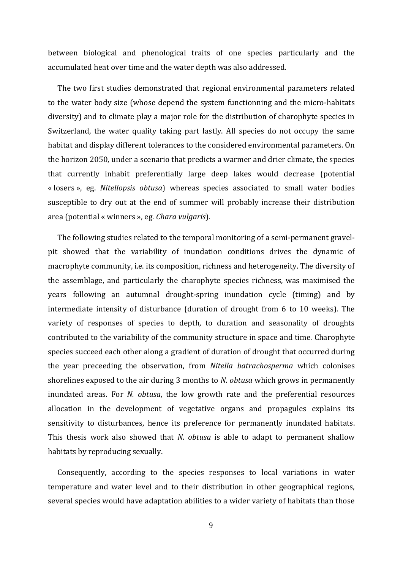between biological and phenological traits of one species particularly and the accumulated heat over time and the water depth was also addressed.

The two first studies demonstrated that regional environmental parameters related to the water body size (whose depend the system functionning and the micro-habitats diversity) and to climate play a major role for the distribution of charophyte species in Switzerland, the water quality taking part lastly. All species do not occupy the same habitat and display different tolerances to the considered environmental parameters. On the horizon 2050, under a scenario that predicts a warmer and drier climate, the species that currently inhabit preferentially large deep lakes would decrease (potential « losers », eg. *Nitellopsis obtusa*) whereas species associated to small water bodies susceptible to dry out at the end of summer will probably increase their distribution area (potential « winners », eg. *Chara vulgaris*).

The following studies related to the temporal monitoring of a semi-permanent gravelpit showed that the variability of inundation conditions drives the dynamic of macrophyte community, i.e. its composition, richness and heterogeneity. The diversity of the assemblage, and particularly the charophyte species richness, was maximised the years following an autumnal drought-spring inundation cycle (timing) and by intermediate intensity of disturbance (duration of drought from 6 to 10 weeks). The variety of responses of species to depth, to duration and seasonality of droughts contributed to the variability of the community structure in space and time. Charophyte species succeed each other along a gradient of duration of drought that occurred during the year preceeding the observation, from *Nitella batrachosperma* which colonises shorelines exposed to the air during 3 months to *N. obtusa* which grows in permanently inundated areas. For *N. obtusa*, the low growth rate and the preferential resources allocation in the development of vegetative organs and propagules explains its sensitivity to disturbances, hence its preference for permanently inundated habitats. This thesis work also showed that *N. obtusa* is able to adapt to permanent shallow habitats by reproducing sexually.

Consequently, according to the species responses to local variations in water temperature and water level and to their distribution in other geographical regions, several species would have adaptation abilities to a wider variety of habitats than those